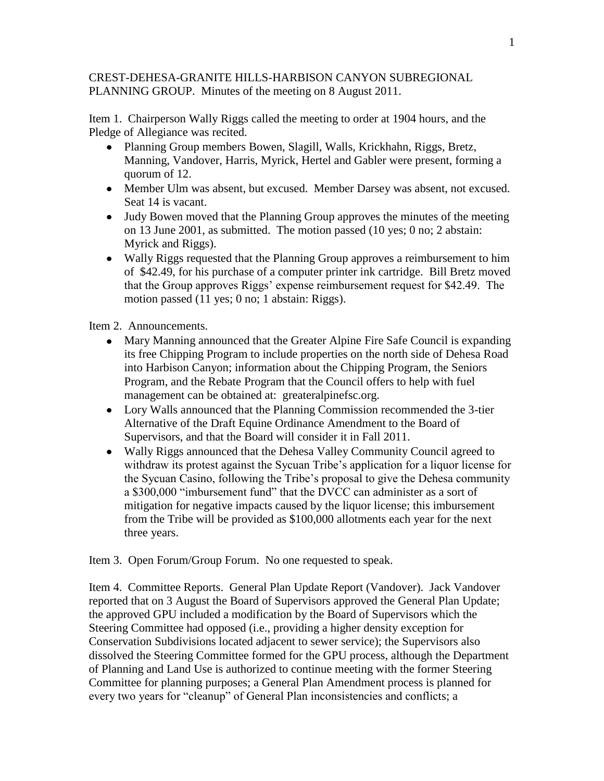## CREST-DEHESA-GRANITE HILLS-HARBISON CANYON SUBREGIONAL PLANNING GROUP. Minutes of the meeting on 8 August 2011.

Item 1. Chairperson Wally Riggs called the meeting to order at 1904 hours, and the Pledge of Allegiance was recited.

- Planning Group members Bowen, Slagill, Walls, Krickhahn, Riggs, Bretz, Manning, Vandover, Harris, Myrick, Hertel and Gabler were present, forming a quorum of 12.
- Member Ulm was absent, but excused. Member Darsey was absent, not excused. Seat 14 is vacant.
- Judy Bowen moved that the Planning Group approves the minutes of the meeting on 13 June 2001, as submitted. The motion passed (10 yes; 0 no; 2 abstain: Myrick and Riggs).
- Wally Riggs requested that the Planning Group approves a reimbursement to him of \$42.49, for his purchase of a computer printer ink cartridge. Bill Bretz moved that the Group approves Riggs' expense reimbursement request for \$42.49. The motion passed (11 yes; 0 no; 1 abstain: Riggs).

Item 2. Announcements.

- Mary Manning announced that the Greater Alpine Fire Safe Council is expanding its free Chipping Program to include properties on the north side of Dehesa Road into Harbison Canyon; information about the Chipping Program, the Seniors Program, and the Rebate Program that the Council offers to help with fuel management can be obtained at: greateralpinefsc.org.
- Lory Walls announced that the Planning Commission recommended the 3-tier Alternative of the Draft Equine Ordinance Amendment to the Board of Supervisors, and that the Board will consider it in Fall 2011.
- Wally Riggs announced that the Dehesa Valley Community Council agreed to withdraw its protest against the Sycuan Tribe's application for a liquor license for the Sycuan Casino, following the Tribe's proposal to give the Dehesa community a \$300,000 "imbursement fund" that the DVCC can administer as a sort of mitigation for negative impacts caused by the liquor license; this imbursement from the Tribe will be provided as \$100,000 allotments each year for the next three years.

Item 3. Open Forum/Group Forum. No one requested to speak.

Item 4. Committee Reports. General Plan Update Report (Vandover). Jack Vandover reported that on 3 August the Board of Supervisors approved the General Plan Update; the approved GPU included a modification by the Board of Supervisors which the Steering Committee had opposed (i.e., providing a higher density exception for Conservation Subdivisions located adjacent to sewer service); the Supervisors also dissolved the Steering Committee formed for the GPU process, although the Department of Planning and Land Use is authorized to continue meeting with the former Steering Committee for planning purposes; a General Plan Amendment process is planned for every two years for "cleanup" of General Plan inconsistencies and conflicts; a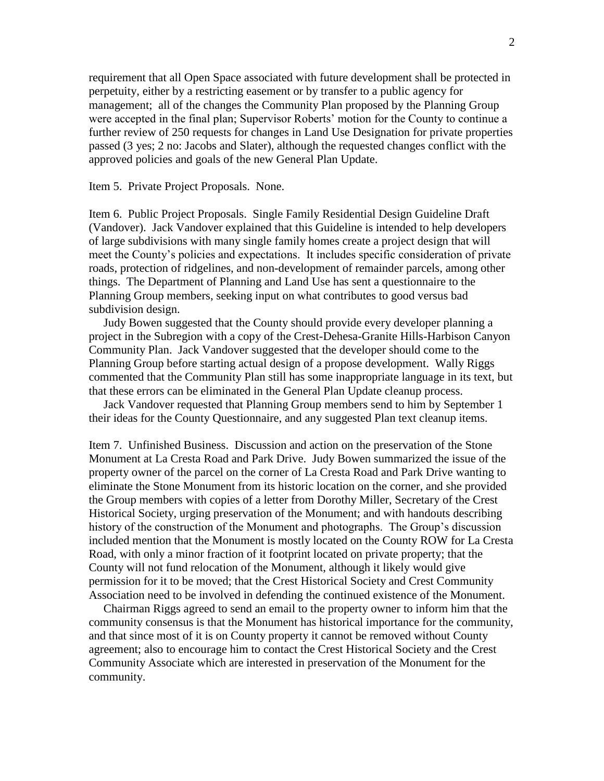requirement that all Open Space associated with future development shall be protected in perpetuity, either by a restricting easement or by transfer to a public agency for management; all of the changes the Community Plan proposed by the Planning Group were accepted in the final plan; Supervisor Roberts' motion for the County to continue a further review of 250 requests for changes in Land Use Designation for private properties passed (3 yes; 2 no: Jacobs and Slater), although the requested changes conflict with the approved policies and goals of the new General Plan Update.

Item 5. Private Project Proposals. None.

Item 6. Public Project Proposals. Single Family Residential Design Guideline Draft (Vandover). Jack Vandover explained that this Guideline is intended to help developers of large subdivisions with many single family homes create a project design that will meet the County's policies and expectations. It includes specific consideration of private roads, protection of ridgelines, and non-development of remainder parcels, among other things. The Department of Planning and Land Use has sent a questionnaire to the Planning Group members, seeking input on what contributes to good versus bad subdivision design.

 Judy Bowen suggested that the County should provide every developer planning a project in the Subregion with a copy of the Crest-Dehesa-Granite Hills-Harbison Canyon Community Plan. Jack Vandover suggested that the developer should come to the Planning Group before starting actual design of a propose development. Wally Riggs commented that the Community Plan still has some inappropriate language in its text, but that these errors can be eliminated in the General Plan Update cleanup process.

 Jack Vandover requested that Planning Group members send to him by September 1 their ideas for the County Questionnaire, and any suggested Plan text cleanup items.

Item 7. Unfinished Business. Discussion and action on the preservation of the Stone Monument at La Cresta Road and Park Drive. Judy Bowen summarized the issue of the property owner of the parcel on the corner of La Cresta Road and Park Drive wanting to eliminate the Stone Monument from its historic location on the corner, and she provided the Group members with copies of a letter from Dorothy Miller, Secretary of the Crest Historical Society, urging preservation of the Monument; and with handouts describing history of the construction of the Monument and photographs. The Group's discussion included mention that the Monument is mostly located on the County ROW for La Cresta Road, with only a minor fraction of it footprint located on private property; that the County will not fund relocation of the Monument, although it likely would give permission for it to be moved; that the Crest Historical Society and Crest Community Association need to be involved in defending the continued existence of the Monument.

 Chairman Riggs agreed to send an email to the property owner to inform him that the community consensus is that the Monument has historical importance for the community, and that since most of it is on County property it cannot be removed without County agreement; also to encourage him to contact the Crest Historical Society and the Crest Community Associate which are interested in preservation of the Monument for the community.